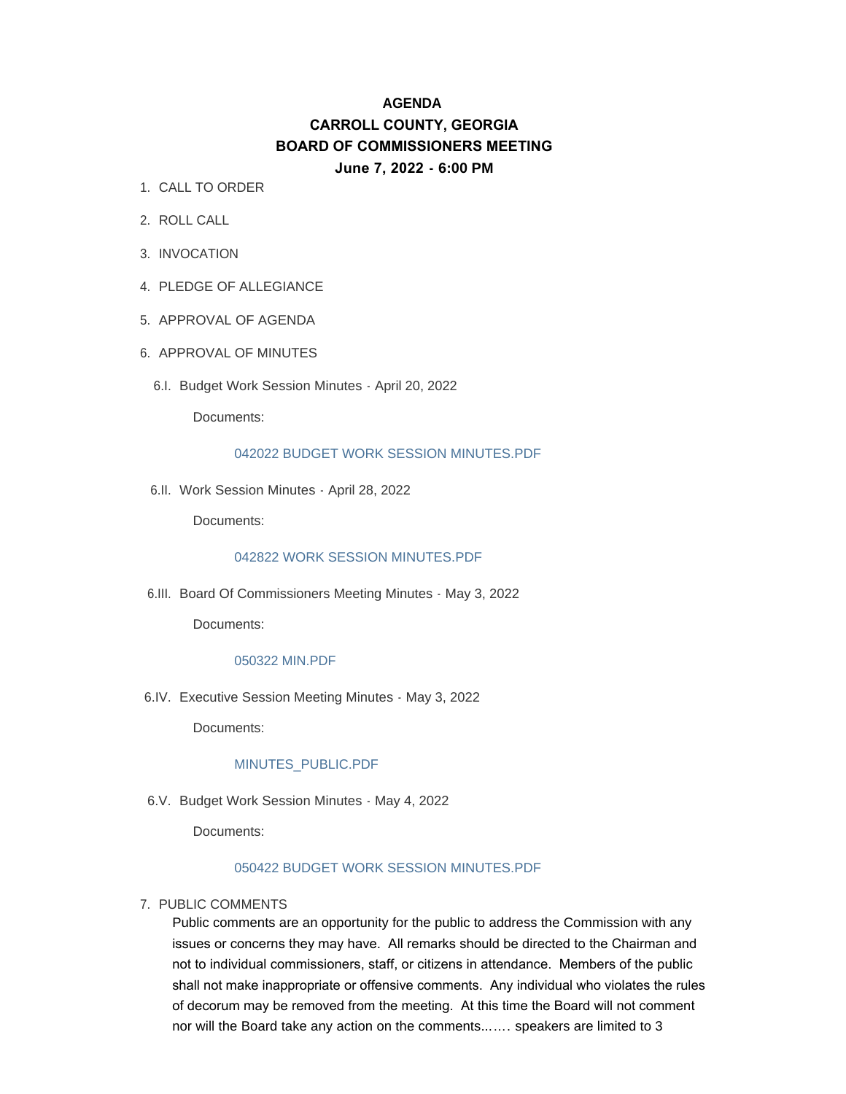# **AGENDA CARROLL COUNTY, GEORGIA BOARD OF COMMISSIONERS MEETING June 7, 2022 - 6:00 PM**

- 1. CALL TO ORDER
- 2. ROLL CALL
- 3. INVOCATION
- 4. PLEDGE OF ALLEGIANCE
- 5. APPROVAL OF AGENDA
- 6. APPROVAL OF MINUTES
	- 6.I. Budget Work Session Minutes April 20, 2022

Documents:

#### 042022 BUDGET WORK SESSION MINUTES PDE

6.II. Work Session Minutes - April 28, 2022

Documents:

## [042822 WORK SESSION MINUTES.PDF](http://www.carrollcountyga.com/AgendaCenter/ViewFile/Item/3545?fileID=9100)

6.III. Board Of Commissioners Meeting Minutes - May 3, 2022

Documents:

#### [050322 MIN.PDF](http://www.carrollcountyga.com/AgendaCenter/ViewFile/Item/3546?fileID=9101)

Executive Session Meeting Minutes - May 3, 2022 6.IV.

Documents:

#### [MINUTES\\_PUBLIC.PDF](http://www.carrollcountyga.com/AgendaCenter/ViewFile/Item/3574?fileID=9125)

6.V. Budget Work Session Minutes - May 4, 2022

Documents:

## [050422 BUDGET WORK SESSION MINUTES.PDF](http://www.carrollcountyga.com/AgendaCenter/ViewFile/Item/3575?fileID=9179)

#### 7. PUBLIC COMMENTS

Public comments are an opportunity for the public to address the Commission with any issues or concerns they may have. All remarks should be directed to the Chairman and not to individual commissioners, staff, or citizens in attendance. Members of the public shall not make inappropriate or offensive comments. Any individual who violates the rules of decorum may be removed from the meeting. At this time the Board will not comment nor will the Board take any action on the comments...…. speakers are limited to 3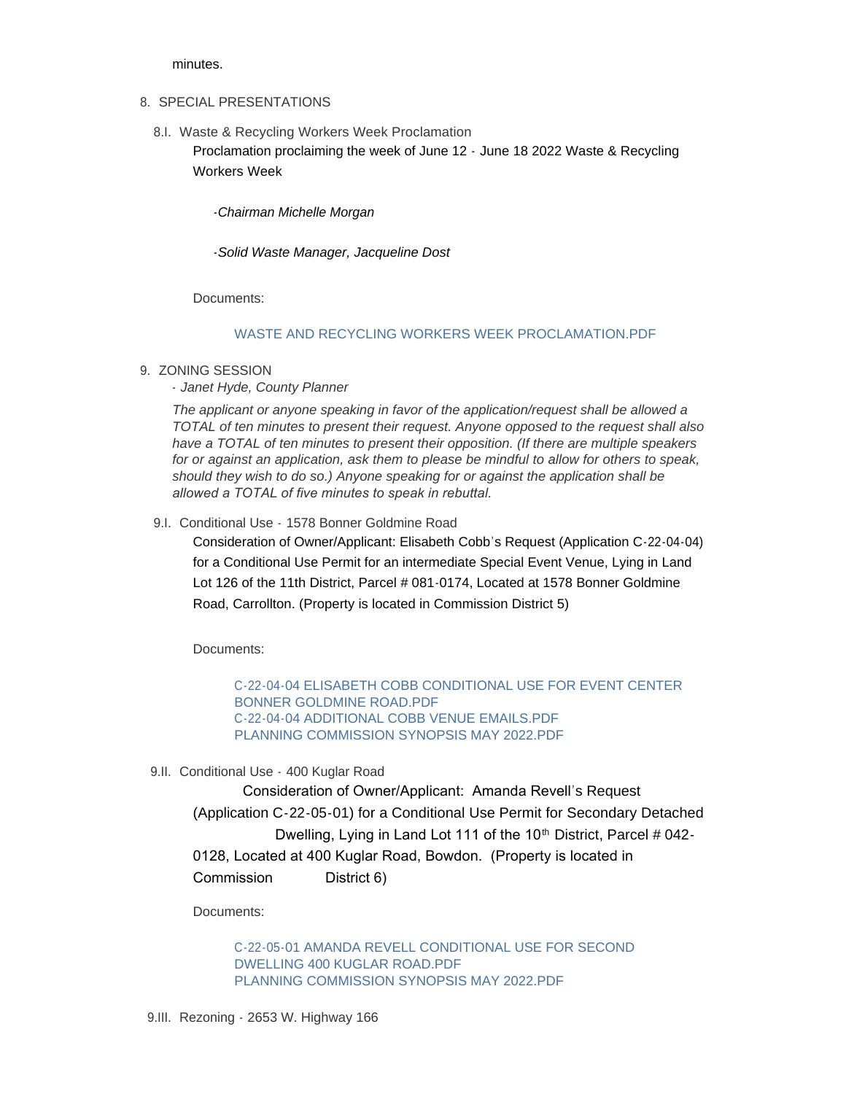minutes.

# 8. SPECIAL PRESENTATIONS

8.I. Waste & Recycling Workers Week Proclamation Proclamation proclaiming the week of June 12 - June 18 2022 Waste & Recycling Workers Week

*-Chairman Michelle Morgan*

*-Solid Waste Manager, Jacqueline Dost*

Documents:

# [WASTE AND RECYCLING WORKERS WEEK PROCLAMATION.PDF](http://www.carrollcountyga.com/AgendaCenter/ViewFile/Item/3547?fileID=9102)

9. ZONING SESSION

*- Janet Hyde, County Planner*

*The applicant or anyone speaking in favor of the application/request shall be allowed a TOTAL of ten minutes to present their request. Anyone opposed to the request shall also have a TOTAL of ten minutes to present their opposition. (If there are multiple speakers for or against an application, ask them to please be mindful to allow for others to speak, should they wish to do so.) Anyone speaking for or against the application shall be allowed a TOTAL of five minutes to speak in rebuttal.* 

9.I. Conditional Use - 1578 Bonner Goldmine Road

Consideration of Owner/Applicant: Elisabeth Cobb's Request (Application C-22-04-04) for a Conditional Use Permit for an intermediate Special Event Venue, Lying in Land Lot 126 of the 11th District, Parcel # 081-0174, Located at 1578 Bonner Goldmine Road, Carrollton. (Property is located in Commission District 5)

Documents:

[C-22-04-04 ELISABETH COBB CONDITIONAL USE FOR EVENT CENTER](http://www.carrollcountyga.com/AgendaCenter/ViewFile/Item/3480?fileID=9104)  BONNER GOLDMINE ROAD.PDF [C-22-04-04 ADDITIONAL COBB VENUE EMAILS.PDF](http://www.carrollcountyga.com/AgendaCenter/ViewFile/Item/3480?fileID=9105) [PLANNING COMMISSION SYNOPSIS MAY 2022.PDF](http://www.carrollcountyga.com/AgendaCenter/ViewFile/Item/3480?fileID=9106)

9.II. Conditional Use - 400 Kuglar Road

Consideration of Owner/Applicant: Amanda Revell's Request (Application C-22-05-01) for a Conditional Use Permit for Secondary Detached Dwelling, Lying in Land Lot 111 of the 10<sup>th</sup> District, Parcel # 042-0128, Located at 400 Kuglar Road, Bowdon. (Property is located in Commission District 6)

Documents:

[C-22-05-01 AMANDA REVELL CONDITIONAL USE FOR SECOND](http://www.carrollcountyga.com/AgendaCenter/ViewFile/Item/3554?fileID=9107)  DWELLING 400 KUGLAR ROAD.PDF [PLANNING COMMISSION SYNOPSIS MAY 2022.PDF](http://www.carrollcountyga.com/AgendaCenter/ViewFile/Item/3554?fileID=9108)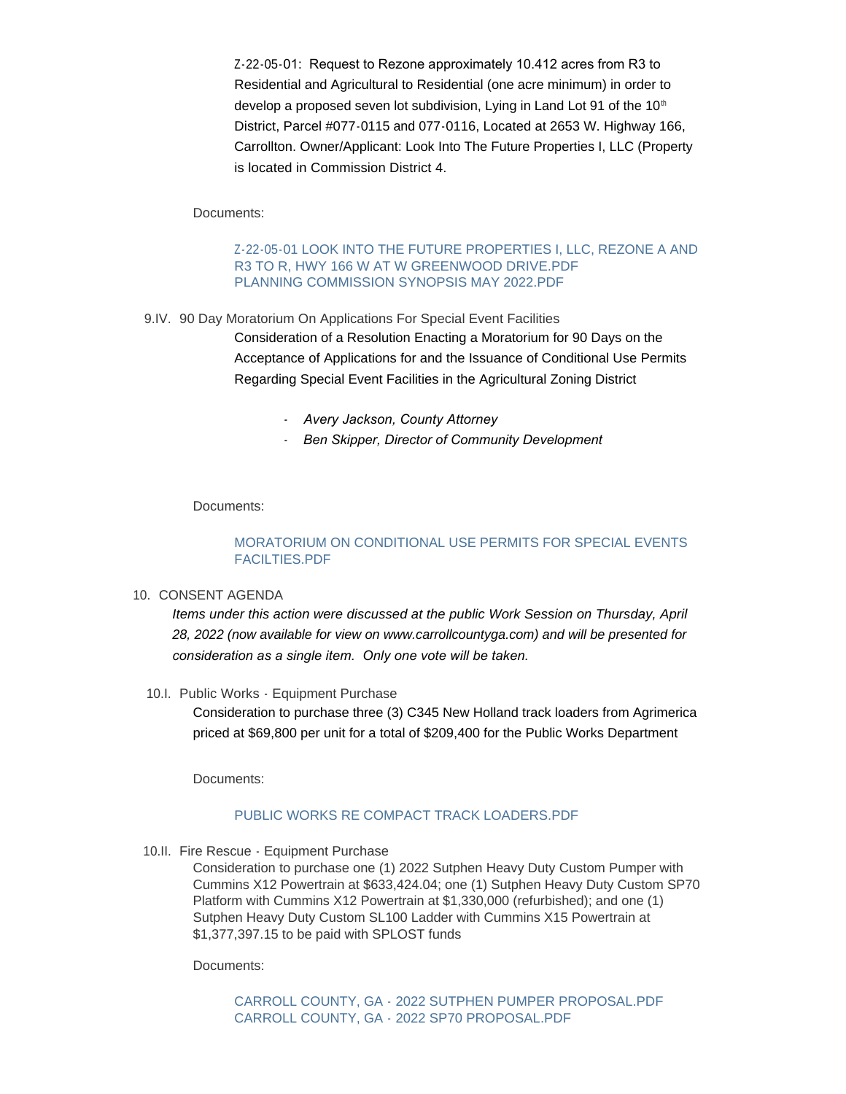Z-22-05-01: Request to Rezone approximately 10.412 acres from R3 to Residential and Agricultural to Residential (one acre minimum) in order to develop a proposed seven lot subdivision, Lying in Land Lot 91 of the 10<sup>th</sup> District, Parcel #077-0115 and 077-0116, Located at 2653 W. Highway 166, Carrollton. Owner/Applicant: Look Into The Future Properties I, LLC (Property is located in Commission District 4.

Documents:

## [Z-22-05-01 LOOK INTO THE FUTURE PROPERTIES I, LLC, REZONE A AND](http://www.carrollcountyga.com/AgendaCenter/ViewFile/Item/3555?fileID=9109)  R3 TO R, HWY 166 W AT W GREENWOOD DRIVE.PDF [PLANNING COMMISSION SYNOPSIS MAY 2022.PDF](http://www.carrollcountyga.com/AgendaCenter/ViewFile/Item/3555?fileID=9110)

9.IV. 90 Day Moratorium On Applications For Special Event Facilities Consideration of a Resolution Enacting a Moratorium for 90 Days on the Acceptance of Applications for and the Issuance of Conditional Use Permits Regarding Special Event Facilities in the Agricultural Zoning District

- *- Avery Jackson, County Attorney*
- *- Ben Skipper, Director of Community Development*

Documents:

# [MORATORIUM ON CONDITIONAL USE PERMITS FOR SPECIAL EVENTS](http://www.carrollcountyga.com/AgendaCenter/ViewFile/Item/3556?fileID=9187)  FACILTIES.PDF

#### 10. CONSENT AGENDA

*Items under this action were discussed at the public Work Session on Thursday, April 28, 2022 (now available for view on www.carrollcountyga.com) and will be presented for consideration as a single item. Only one vote will be taken.*

10.I. Public Works - Equipment Purchase

Consideration to purchase three (3) C345 New Holland track loaders from Agrimerica priced at \$69,800 per unit for a total of \$209,400 for the Public Works Department

Documents:

#### [PUBLIC WORKS RE COMPACT TRACK LOADERS.PDF](http://www.carrollcountyga.com/AgendaCenter/ViewFile/Item/3552?fileID=9103)

10.II. Fire Rescue - Equipment Purchase

Consideration to purchase one (1) 2022 Sutphen Heavy Duty Custom Pumper with Cummins X12 Powertrain at \$633,424.04; one (1) Sutphen Heavy Duty Custom SP70 Platform with Cummins X12 Powertrain at \$1,330,000 (refurbished); and one (1) Sutphen Heavy Duty Custom SL100 Ladder with Cummins X15 Powertrain at \$1,377,397.15 to be paid with SPLOST funds

Documents:

[CARROLL COUNTY, GA - 2022 SUTPHEN PUMPER PROPOSAL.PDF](http://www.carrollcountyga.com/AgendaCenter/ViewFile/Item/3558?fileID=9119) [CARROLL COUNTY, GA - 2022 SP70 PROPOSAL.PDF](http://www.carrollcountyga.com/AgendaCenter/ViewFile/Item/3558?fileID=9118)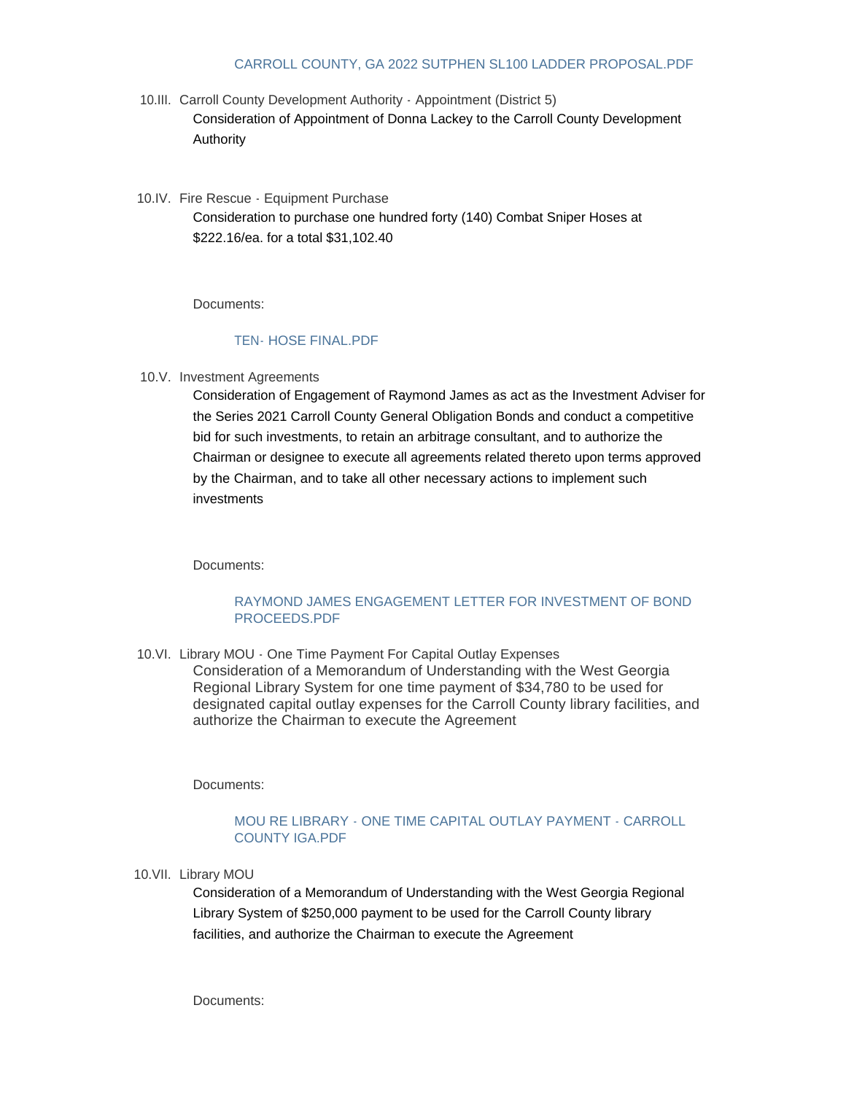## [CARROLL COUNTY, GA 2022 SUTPHEN SL100 LADDER PROPOSAL.PDF](http://www.carrollcountyga.com/AgendaCenter/ViewFile/Item/3558?fileID=9188)

- 10.III. Carroll County Development Authority Appointment (District 5) Consideration of Appointment of Donna Lackey to the Carroll County Development Authority
- 10.IV. Fire Rescue Equipment Purchase Consideration to purchase one hundred forty (140) Combat Sniper Hoses at \$222.16/ea. for a total \$31,102.40

Documents:

#### [TEN- HOSE FINAL.PDF](http://www.carrollcountyga.com/AgendaCenter/ViewFile/Item/3559?fileID=9116)

10.V. Investment Agreements

Consideration of Engagement of Raymond James as act as the Investment Adviser for the Series 2021 Carroll County General Obligation Bonds and conduct a competitive bid for such investments, to retain an arbitrage consultant, and to authorize the Chairman or designee to execute all agreements related thereto upon terms approved by the Chairman, and to take all other necessary actions to implement such investments

Documents:

## [RAYMOND JAMES ENGAGEMENT LETTER FOR INVESTMENT OF BOND](http://www.carrollcountyga.com/AgendaCenter/ViewFile/Item/3576?fileID=9144)  PROCEEDS.PDF

10. VI. Library MOU - One Time Payment For Capital Outlay Expenses Consideration of a Memorandum of Understanding with the West Georgia Regional Library System for one time payment of \$34,780 to be used for designated capital outlay expenses for the Carroll County library facilities, and authorize the Chairman to execute the Agreement

Documents:

# [MOU RE LIBRARY - ONE TIME CAPITAL OUTLAY PAYMENT - CARROLL](http://www.carrollcountyga.com/AgendaCenter/ViewFile/Item/3577?fileID=9126)  COUNTY IGA.PDF

10.VII. Library MOU

Consideration of a Memorandum of Understanding with the West Georgia Regional Library System of \$250,000 payment to be used for the Carroll County library facilities, and authorize the Chairman to execute the Agreement

Documents: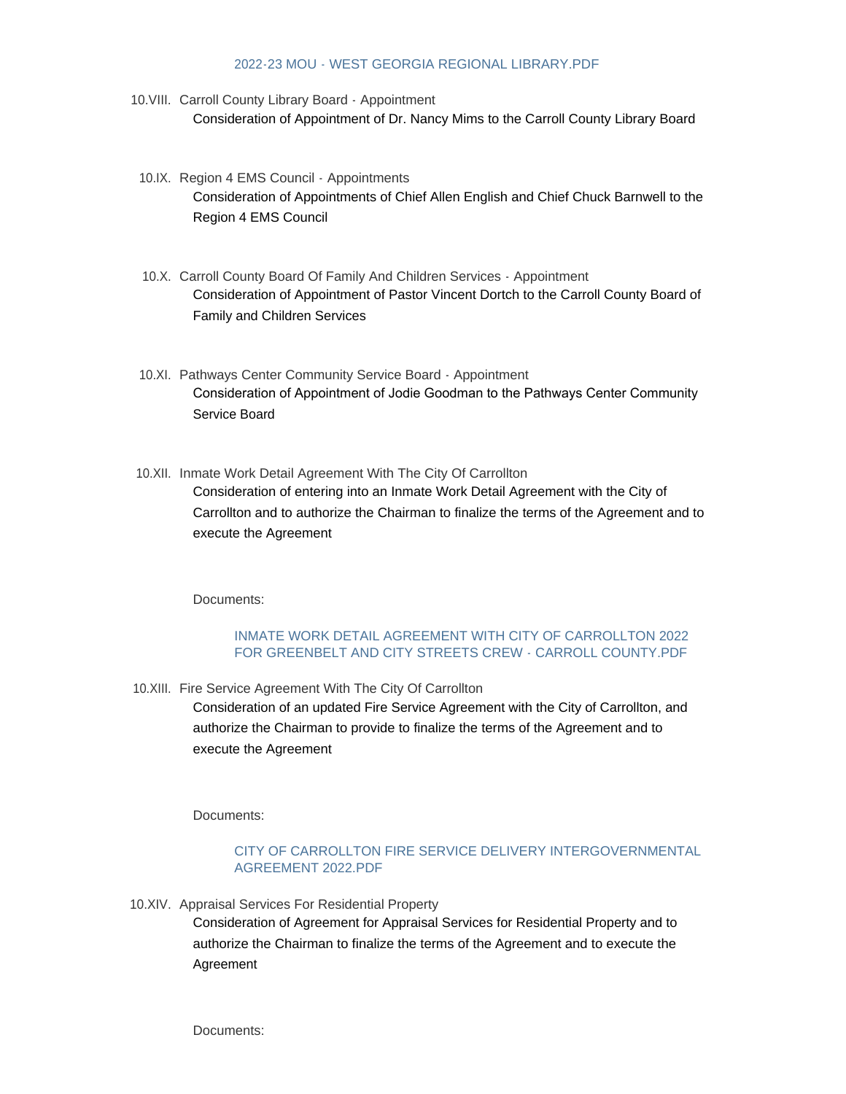#### [2022-23 MOU - WEST GEORGIA REGIONAL LIBRARY.PDF](http://www.carrollcountyga.com/AgendaCenter/ViewFile/Item/3578?fileID=9185)

- 10. VIII. Carroll County Library Board Appointment Consideration of Appointment of Dr. Nancy Mims to the Carroll County Library Board
- 10.IX. Region 4 EMS Council Appointments Consideration of Appointments of Chief Allen English and Chief Chuck Barnwell to the Region 4 EMS Council
- 10.X. Carroll County Board Of Family And Children Services Appointment Consideration of Appointment of Pastor Vincent Dortch to the Carroll County Board of Family and Children Services
- 10.XI. Pathways Center Community Service Board Appointment Consideration of Appointment of Jodie Goodman to the Pathways Center Community Service Board
- 10.XII. Inmate Work Detail Agreement With The City Of Carrollton Consideration of entering into an Inmate Work Detail Agreement with the City of Carrollton and to authorize the Chairman to finalize the terms of the Agreement and to execute the Agreement

Documents:

## [INMATE WORK DETAIL AGREEMENT WITH CITY OF CARROLLTON 2022](http://www.carrollcountyga.com/AgendaCenter/ViewFile/Item/3551?fileID=9184)  FOR GREENBELT AND CITY STREETS CREW - CARROLL COUNTY.PDF

10. XIII. Fire Service Agreement With The City Of Carrollton

Consideration of an updated Fire Service Agreement with the City of Carrollton, and authorize the Chairman to provide to finalize the terms of the Agreement and to execute the Agreement

Documents:

# [CITY OF CARROLLTON FIRE SERVICE DELIVERY INTERGOVERNMENTAL](http://www.carrollcountyga.com/AgendaCenter/ViewFile/Item/3579?fileID=9178)  AGREEMENT 2022.PDF

10.XIV. Appraisal Services For Residential Property

Consideration of Agreement for Appraisal Services for Residential Property and to authorize the Chairman to finalize the terms of the Agreement and to execute the Agreement

Documents: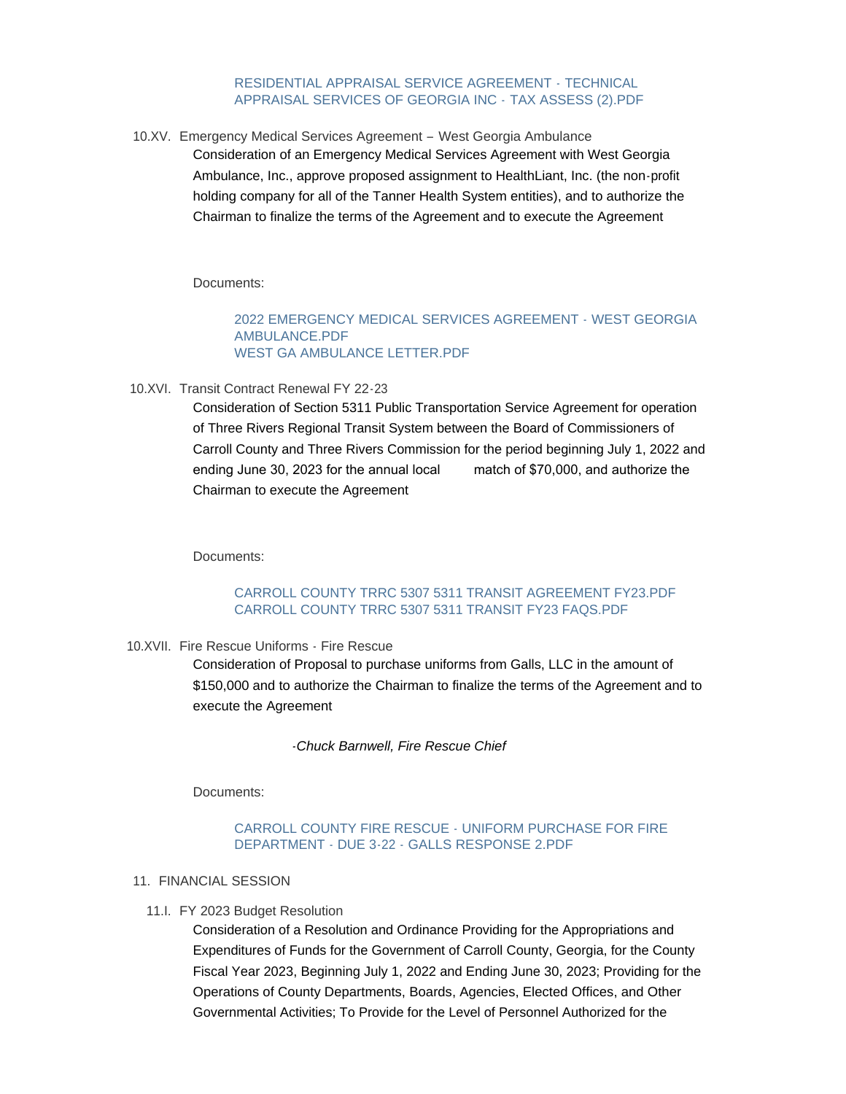#### [RESIDENTIAL APPRAISAL SERVICE AGREEMENT -](http://www.carrollcountyga.com/AgendaCenter/ViewFile/Item/3564?fileID=9145) TECHNICAL APPRAISAL SERVICES OF GEORGIA INC - TAX ASSESS (2).PDF

10.XV. Emergency Medical Services Agreement - West Georgia Ambulance Consideration of an Emergency Medical Services Agreement with West Georgia Ambulance, Inc., approve proposed assignment to HealthLiant, Inc. (the non-profit holding company for all of the Tanner Health System entities), and to authorize the Chairman to finalize the terms of the Agreement and to execute the Agreement

Documents:

#### [2022 EMERGENCY MEDICAL SERVICES AGREEMENT - WEST GEORGIA](http://www.carrollcountyga.com/AgendaCenter/ViewFile/Item/3565?fileID=9121)  AMBULANCE.PDF [WEST GA AMBULANCE LETTER.PDF](http://www.carrollcountyga.com/AgendaCenter/ViewFile/Item/3565?fileID=9183)

10.XVI. Transit Contract Renewal FY 22-23

Consideration of Section 5311 Public Transportation Service Agreement for operation of Three Rivers Regional Transit System between the Board of Commissioners of Carroll County and Three Rivers Commission for the period beginning July 1, 2022 and ending June 30, 2023 for the annual local match of \$70,000, and authorize the Chairman to execute the Agreement

Documents:

# [CARROLL COUNTY TRRC 5307 5311 TRANSIT AGREEMENT FY23.PDF](http://www.carrollcountyga.com/AgendaCenter/ViewFile/Item/3568?fileID=9146) [CARROLL COUNTY TRRC 5307 5311 TRANSIT FY23 FAQS.PDF](http://www.carrollcountyga.com/AgendaCenter/ViewFile/Item/3568?fileID=9147)

10.XVII. Fire Rescue Uniforms - Fire Rescue

Consideration of Proposal to purchase uniforms from Galls, LLC in the amount of \$150,000 and to authorize the Chairman to finalize the terms of the Agreement and to execute the Agreement

*-Chuck Barnwell, Fire Rescue Chief*

Documents:

## [CARROLL COUNTY FIRE RESCUE - UNIFORM PURCHASE FOR FIRE](http://www.carrollcountyga.com/AgendaCenter/ViewFile/Item/3573?fileID=9186)  DEPARTMENT - DUE 3-22 - GALLS RESPONSE 2.PDF

- 11. FINANCIAL SESSION
	- 11.I. FY 2023 Budget Resolution

Consideration of a Resolution and Ordinance Providing for the Appropriations and Expenditures of Funds for the Government of Carroll County, Georgia, for the County Fiscal Year 2023, Beginning July 1, 2022 and Ending June 30, 2023; Providing for the Operations of County Departments, Boards, Agencies, Elected Offices, and Other Governmental Activities; To Provide for the Level of Personnel Authorized for the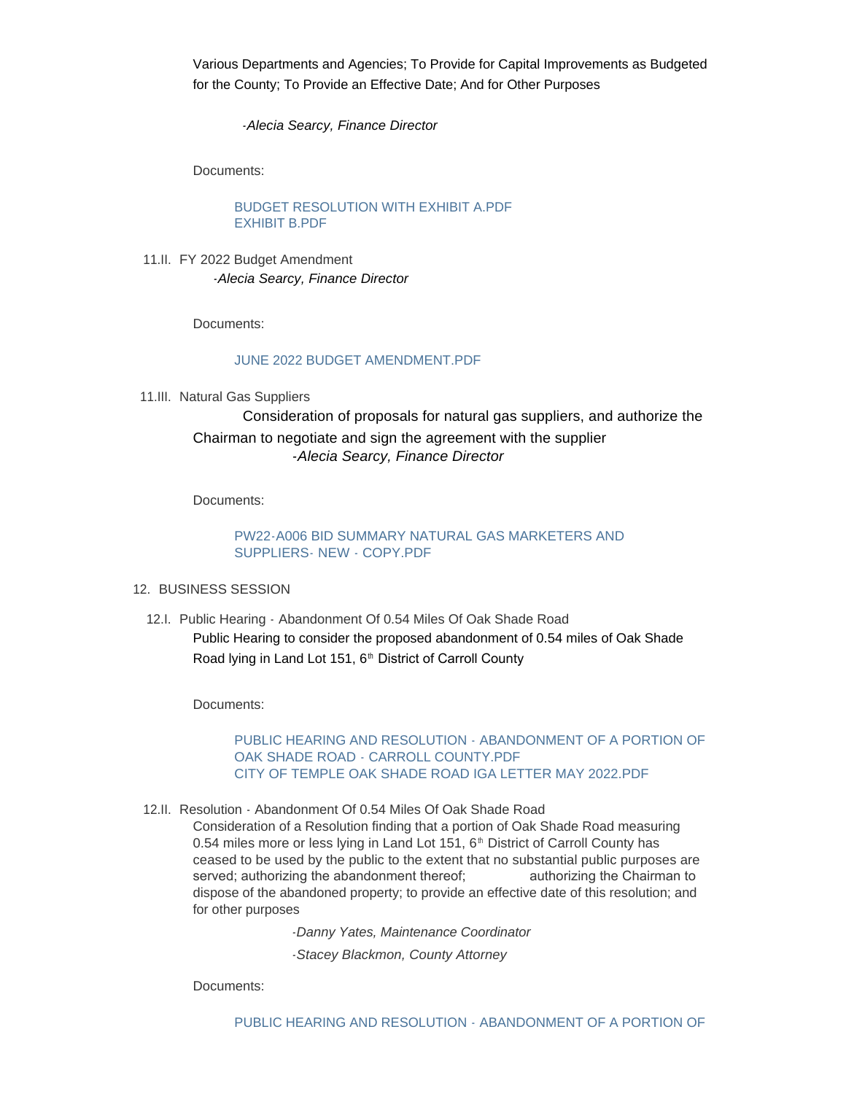Various Departments and Agencies; To Provide for Capital Improvements as Budgeted for the County; To Provide an Effective Date; And for Other Purposes

*-Alecia Searcy, Finance Director*

Documents:

[BUDGET RESOLUTION WITH EXHIBIT A.PDF](http://www.carrollcountyga.com/AgendaCenter/ViewFile/Item/3560?fileID=9127) [EXHIBIT B.PDF](http://www.carrollcountyga.com/AgendaCenter/ViewFile/Item/3560?fileID=9129)

11.II. FY 2022 Budget Amendment *-Alecia Searcy, Finance Director*

Documents:

### [JUNE 2022 BUDGET AMENDMENT.PDF](http://www.carrollcountyga.com/AgendaCenter/ViewFile/Item/3581?fileID=9161)

11.III. Natural Gas Suppliers

Consideration of proposals for natural gas suppliers, and authorize the Chairman to negotiate and sign the agreement with the supplier *-Alecia Searcy, Finance Director*

Documents:

## [PW22-A006 BID SUMMARY NATURAL GAS MARKETERS AND](http://www.carrollcountyga.com/AgendaCenter/ViewFile/Item/3582?fileID=9189)  SUPPLIERS- NEW - COPY.PDF

- 12. BUSINESS SESSION
	- 12.I. Public Hearing Abandonment Of 0.54 Miles Of Oak Shade Road Public Hearing to consider the proposed abandonment of 0.54 miles of Oak Shade Road lying in Land Lot 151,  $6<sup>th</sup>$  District of Carroll County

Documents:

[PUBLIC HEARING AND RESOLUTION - ABANDONMENT OF A PORTION OF](http://www.carrollcountyga.com/AgendaCenter/ViewFile/Item/3569?fileID=9122)  OAK SHADE ROAD - CARROLL COUNTY.PDF [CITY OF TEMPLE OAK SHADE ROAD IGA LETTER MAY 2022.PDF](http://www.carrollcountyga.com/AgendaCenter/ViewFile/Item/3569?fileID=9181)

12.II. Resolution - Abandonment Of 0.54 Miles Of Oak Shade Road

Consideration of a Resolution finding that a portion of Oak Shade Road measuring 0.54 miles more or less lying in Land Lot 151,  $6<sup>th</sup>$  District of Carroll County has ceased to be used by the public to the extent that no substantial public purposes are served; authorizing the abandonment thereof; authorizing the Chairman to dispose of the abandoned property; to provide an effective date of this resolution; and for other purposes

*-Danny Yates, Maintenance Coordinator*

*-Stacey Blackmon, County Attorney*

Documents: